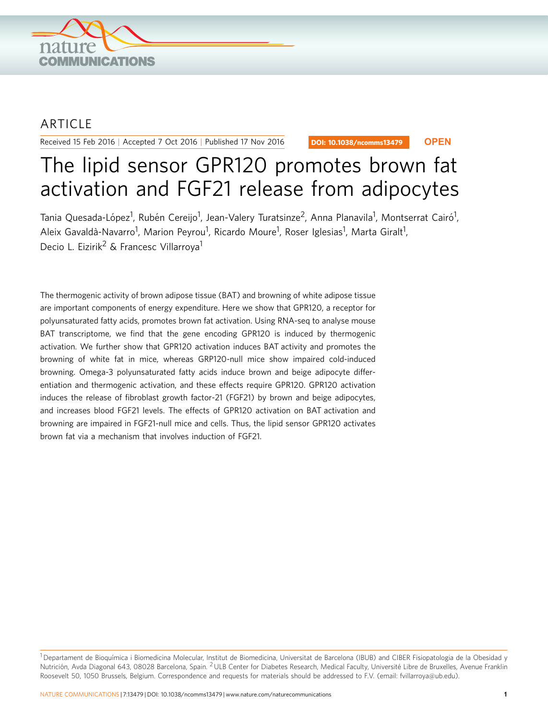

## ARTICLE

Received 15 Feb 2016 | Accepted 7 Oct 2016 | Published 17 Nov 2016

DOI: 10.1038/ncomms13479 **OPEN**

# The lipid sensor GPR120 promotes brown fat activation and FGF21 release from adipocytes

Tania Quesada-López<sup>1</sup>, Rubén Cereijo<sup>1</sup>, Jean-Valery Turatsinze<sup>2</sup>, Anna Planavila<sup>1</sup>, Montserrat Cairó<sup>1</sup>, Aleix Gavaldà-Navarro<sup>1</sup>, Marion Peyrou<sup>1</sup>, Ricardo Moure<sup>1</sup>, Roser Iglesias<sup>1</sup>, Marta Giralt<sup>1</sup>, Decio L. Eizirik<sup>2</sup> & Francesc Villarroya<sup>1</sup>

The thermogenic activity of brown adipose tissue (BAT) and browning of white adipose tissue are important components of energy expenditure. Here we show that GPR120, a receptor for polyunsaturated fatty acids, promotes brown fat activation. Using RNA-seq to analyse mouse BAT transcriptome, we find that the gene encoding GPR120 is induced by thermogenic activation. We further show that GPR120 activation induces BAT activity and promotes the browning of white fat in mice, whereas GRP120-null mice show impaired cold-induced browning. Omega-3 polyunsaturated fatty acids induce brown and beige adipocyte differentiation and thermogenic activation, and these effects require GPR120. GPR120 activation induces the release of fibroblast growth factor-21 (FGF21) by brown and beige adipocytes, and increases blood FGF21 levels. The effects of GPR120 activation on BAT activation and browning are impaired in FGF21-null mice and cells. Thus, the lipid sensor GPR120 activates brown fat via a mechanism that involves induction of FGF21.

<sup>&</sup>lt;sup>1</sup> Departament de Bioquímica i Biomedicina Molecular, Institut de Biomedicina, Universitat de Barcelona (IBUB) and CIBER Fisiopatologia de la Obesidad y Nutrición, Avda Diagonal 643, 08028 Barcelona, Spain. <sup>2</sup>ULB Center for Diabetes Research, Medical Faculty, Université Libre de Bruxelles, Avenue Franklin Roosevelt 50, 1050 Brussels, Belgium. Correspondence and requests for materials should be addressed to F.V. (email: [fvillarroya@ub.edu\)](mailto:fvillarroya@ub.edu).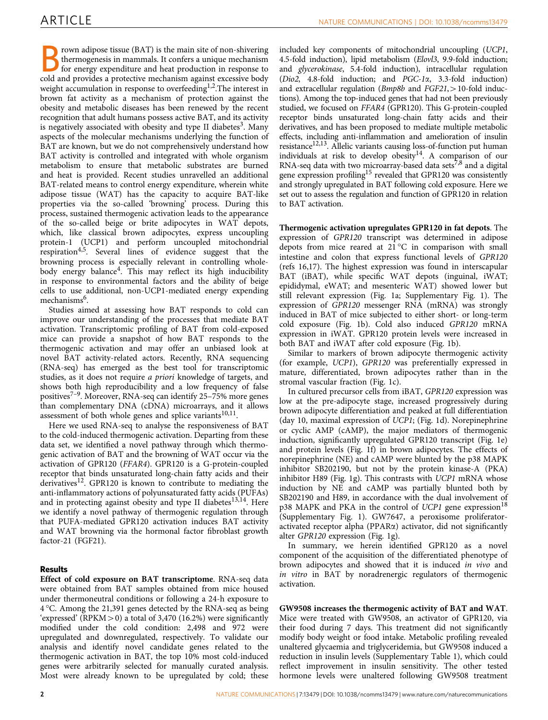rown adipose tissue (BAT) is the main site of non-shivering thermogenesis in mammals. It confers a unique mechanism for energy expenditure and heat production in response to cold and provides a protective mechanism against excessive body weight accumulation in response to overfeeding<sup>1,2</sup>. The interest in brown fat activity as a mechanism of protection against the obesity and metabolic diseases has been renewed by the recent recognition that adult humans possess active BAT, and its activity is negatively associated with obesity and type II diabetes<sup>[3](#page-15-0)</sup>. Many aspects of the molecular mechanisms underlying the function of BAT are known, but we do not comprehensively understand how BAT activity is controlled and integrated with whole organism metabolism to ensure that metabolic substrates are burned and heat is provided. Recent studies unravelled an additional BAT-related means to control energy expenditure, wherein white adipose tissue (WAT) has the capacity to acquire BAT-like properties via the so-called 'browning' process. During this process, sustained thermogenic activation leads to the appearance of the so-called beige or brite adipocytes in WAT depots, which, like classical brown adipocytes, express uncoupling protein-1 (UCP1) and perform uncoupled mitochondrial respiration[4,5](#page-15-0). Several lines of evidence suggest that the browning process is especially relevant in controlling wholebody energy balance<sup>4</sup>. This may reflect its high inducibility in response to environmental factors and the ability of beige cells to use additional, non-UCP1-mediated energy expending mechanisms<sup>[6](#page-15-0)</sup>.

Studies aimed at assessing how BAT responds to cold can improve our understanding of the processes that mediate BAT activation. Transcriptomic profiling of BAT from cold-exposed mice can provide a snapshot of how BAT responds to the thermogenic activation and may offer an unbiased look at novel BAT activity-related actors. Recently, RNA sequencing (RNA-seq) has emerged as the best tool for transcriptomic studies, as it does not require a priori knowledge of targets, and shows both high reproducibility and a low frequency of false positives[7–9](#page-15-0). Moreover, RNA-seq can identify 25–75% more genes than complementary DNA (cDNA) microarrays, and it allows assessment of both whole genes and splice variants $10,11$ .

Here we used RNA-seq to analyse the responsiveness of BAT to the cold-induced thermogenic activation. Departing from these data set, we identified a novel pathway through which thermogenic activation of BAT and the browning of WAT occur via the activation of GPR120 (FFAR4). GPR120 is a G-protein-coupled receptor that binds unsaturated long-chain fatty acids and their derivatives[12](#page-15-0). GPR120 is known to contribute to mediating the anti-inflammatory actions of polyunsaturated fatty acids (PUFAs) and in protecting against obesity and type II diabetes<sup>13,14</sup>. Here we identify a novel pathway of thermogenic regulation through that PUFA-mediated GPR120 activation induces BAT activity and WAT browning via the hormonal factor fibroblast growth factor-21 (FGF21).

## Results

Effect of cold exposure on BAT transcriptome. RNA-seq data were obtained from BAT samples obtained from mice housed under thermoneutral conditions or following a 24-h exposure to 4 °C. Among the 21,391 genes detected by the RNA-seq as being 'expressed' (RPKM $>$ 0) a total of 3,470 (16.2%) were significantly modified under the cold condition: 2,498 and 972 were upregulated and downregulated, respectively. To validate our analysis and identify novel candidate genes related to the thermogenic activation in BAT, the top 10% most cold-induced genes were arbitrarily selected for manually curated analysis. Most were already known to be upregulated by cold; these included key components of mitochondrial uncoupling (UCP1, 4.5-fold induction), lipid metabolism (Elovl3, 9.9-fold induction; and glycerokinase, 5.4-fold induction), intracellular regulation (Dio2, 4.8-fold induction; and PGC-1a, 3.3-fold induction) and extracellular regulation ( $Bmb8b$  and  $FGF21$ ,  $>10$ -fold inductions). Among the top-induced genes that had not been previously studied, we focused on FFAR4 (GPR120). This G-protein-coupled receptor binds unsaturated long-chain fatty acids and their derivatives, and has been proposed to mediate multiple metabolic effects, including anti-inflammation and amelioration of insulin resistance<sup>12,13</sup>. Allelic variants causing loss-of-function put human individuals at risk to develop obesity<sup>14</sup>. A comparison of our RNA-seq data with two microarray-based data sets<sup>[7,8](#page-15-0)</sup> and a digital gene expression profiling<sup>15</sup> revealed that GPR120 was consistently and strongly upregulated in BAT following cold exposure. Here we set out to assess the regulation and function of GPR120 in relation to BAT activation.

Thermogenic activation upregulates GPR120 in fat depots. The expression of GPR120 transcript was determined in adipose depots from mice reared at  $21\,^{\circ}\text{C}$  in comparison with small intestine and colon that express functional levels of GPR120 ([refs 16,17\)](#page-15-0). The highest expression was found in interscapular BAT (iBAT), while specific WAT depots (inguinal, iWAT; epididymal, eWAT; and mesenteric WAT) showed lower but still relevant expression ([Fig. 1a;](#page-2-0) Supplementary Fig. 1). The expression of GPR120 messenger RNA (mRNA) was strongly induced in BAT of mice subjected to either short- or long-term cold exposure [\(Fig. 1b\)](#page-2-0). Cold also induced GPR120 mRNA expression in iWAT. GPR120 protein levels were increased in both BAT and iWAT after cold exposure [\(Fig. 1b](#page-2-0)).

Similar to markers of brown adipocyte thermogenic activity (for example, UCP1), GPR120 was preferentially expressed in mature, differentiated, brown adipocytes rather than in the stromal vascular fraction [\(Fig. 1c\)](#page-2-0).

In cultured precursor cells from iBAT, GPR120 expression was low at the pre-adipocyte stage, increased progressively during brown adipocyte differentiation and peaked at full differentiation (day 10, maximal expression of UCP1; ([Fig. 1d\)](#page-2-0). Norepinephrine or cyclic AMP (cAMP), the major mediators of thermogenic induction, significantly upregulated GPR120 transcript [\(Fig. 1e](#page-2-0)) and protein levels ([Fig. 1f\)](#page-2-0) in brown adipocytes. The effects of norepinephrine (NE) and cAMP were blunted by the p38 MAPK inhibitor SB202190, but not by the protein kinase-A (PKA) inhibitor H89 [\(Fig. 1g](#page-2-0)). This contrasts with UCP1 mRNA whose induction by NE and cAMP was partially blunted both by SB202190 and H89, in accordance with the dual involvement of p38 MAPK and PKA in the control of UCP1 gene expression<sup>[18](#page-15-0)</sup> (Supplementary Fig. 1). GW7647, a peroxisome proliferatoractivated receptor alpha (PPAR $\alpha$ ) activator, did not significantly alter GPR120 expression ([Fig. 1g](#page-2-0)).

In summary, we herein identified GPR120 as a novel component of the acquisition of the differentiated phenotype of brown adipocytes and showed that it is induced in vivo and in vitro in BAT by noradrenergic regulators of thermogenic activation.

GW9508 increases the thermogenic activity of BAT and WAT. Mice were treated with GW9508, an activator of GPR120, via their food during 7 days. This treatment did not significantly modify body weight or food intake. Metabolic profiling revealed unaltered glycaemia and triglyceridemia, but GW9508 induced a reduction in insulin levels (Supplementary Table 1), which could reflect improvement in insulin sensitivity. The other tested hormone levels were unaltered following GW9508 treatment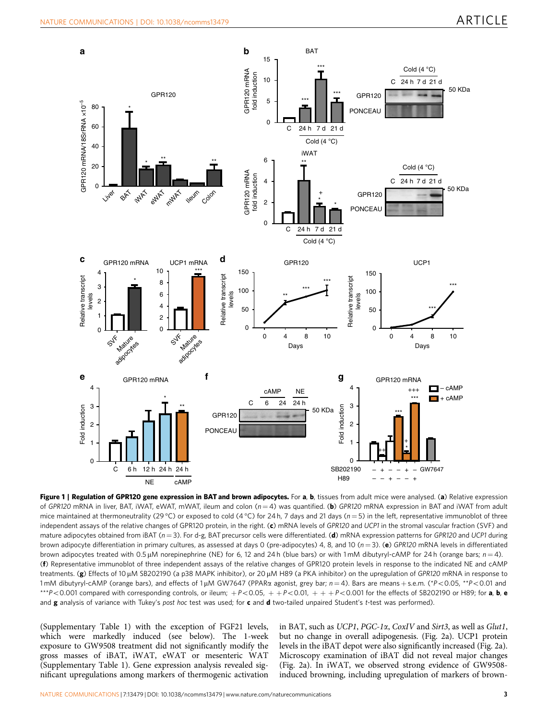<span id="page-2-0"></span>

Figure 1 | Regulation of GPR120 gene expression in BAT and brown adipocytes. For a, b, tissues from adult mice were analysed. (a) Relative expression of GPR120 mRNA in liver, BAT, iWAT, eWAT, mWAT, ileum and colon  $(n = 4)$  was quantified. (b) GPR120 mRNA expression in BAT and iWAT from adult mice maintained at thermoneutrality (29 °C) or exposed to cold (4 °C) for 24 h, 7 days and 21 days ( $n=5$ ) in the left, representative immunoblot of three independent assays of the relative changes of GPR120 protein, in the right. (c) mRNA levels of GPR120 and UCP1 in the stromal vascular fraction (SVF) and mature adipocytes obtained from iBAT ( $n = 3$ ). For d-g, BAT precursor cells were differentiated. (d) mRNA expression patterns for GPR120 and UCP1 during brown adipocyte differentiation in primary cultures, as assessed at days 0 (pre-adipocytes) 4, 8, and 10 ( $n = 3$ ). (e) GPR120 mRNA levels in differentiated brown adipocytes treated with 0.5 µM norepinephrine (NE) for 6, 12 and 24 h (blue bars) or with 1 mM dibutyryl-cAMP for 24 h (orange bars;  $n=4$ ). (f) Representative immunoblot of three independent assays of the relative changes of GPR120 protein levels in response to the indicated NE and cAMP treatments. (g) Effects of 10  $\mu$ M SB202190 (a p38 MAPK inhibitor), or 20  $\mu$ M H89 (a PKA inhibitor) on the upregulation of GPR120 mRNA in response to  $1 \text{mM}$  dibutyryl-cAMP (orange bars), and effects of  $1 \mu \text{M}$  GW7647 (PPAR $\alpha$  agonist, grey bar;  $n = 4$ ). Bars are means + s.e.m. (\*P<0.05, \*\*P<0.01 and \*\*\*P<0.001 compared with corresponding controls, or ileum;  $+P<0.05$ ,  $+P<0.01$ ,  $++P<0.001$  for the effects of SB202190 or H89; for a, b, e and  $g$  analysis of variance with Tukey's post hoc test was used; for  $c$  and  $d$  two-tailed unpaired Student's t-test was performed).

(Supplementary Table 1) with the exception of FGF21 levels, which were markedly induced (see below). The 1-week exposure to GW9508 treatment did not significantly modify the gross masses of iBAT, iWAT, eWAT or mesenteric WAT (Supplementary Table 1). Gene expression analysis revealed significant upregulations among markers of thermogenic activation in BAT, such as UCP1, PGC-1a, CoxIV and Sirt3, as well as Glut1, but no change in overall adipogenesis. ([Fig. 2a](#page-3-0)). UCP1 protein levels in the iBAT depot were also significantly increased ([Fig. 2a](#page-3-0)). Microscopy examination of iBAT did not reveal major changes ([Fig. 2a](#page-3-0)). In iWAT, we observed strong evidence of GW9508 induced browning, including upregulation of markers of brown-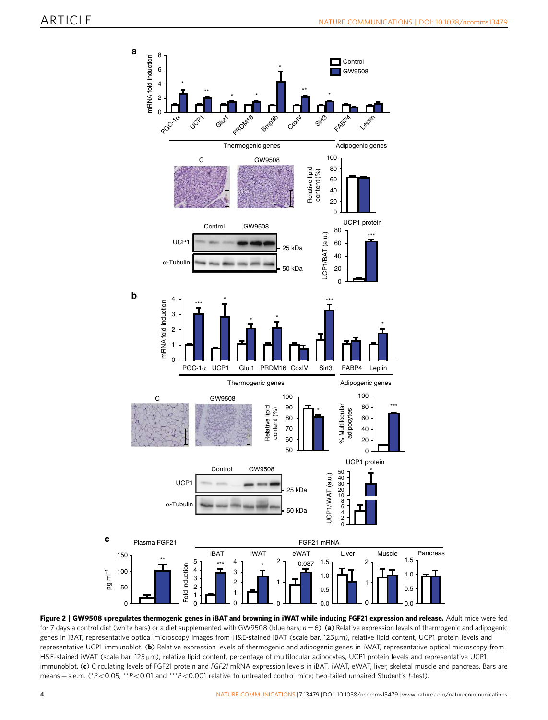<span id="page-3-0"></span>

Figure 2 | GW9508 upregulates thermogenic genes in iBAT and browning in iWAT while inducing FGF21 expression and release. Adult mice were fed for 7 days a control diet (white bars) or a diet supplemented with GW9508 (blue bars;  $n = 6$ ). (a) Relative expression levels of thermogenic and adipogenic genes in iBAT, representative optical microscopy images from H&E-stained iBAT (scale bar, 125 µm), relative lipid content, UCP1 protein levels and representative UCP1 immunoblot. (b) Relative expression levels of thermogenic and adipogenic genes in iWAT, representative optical microscopy from H&E-stained iWAT (scale bar, 125 µm), relative lipid content, percentage of multilocular adipocytes, UCP1 protein levels and representative UCP1 immunoblot. (c) Circulating levels of FGF21 protein and FGF21 mRNA expression levels in iBAT, iWAT, eWAT, liver, skeletal muscle and pancreas. Bars are means + s.e.m. (\*P<0.05, \*\*P<0.01 and \*\*\*P<0.001 relative to untreated control mice; two-tailed unpaired Student's t-test).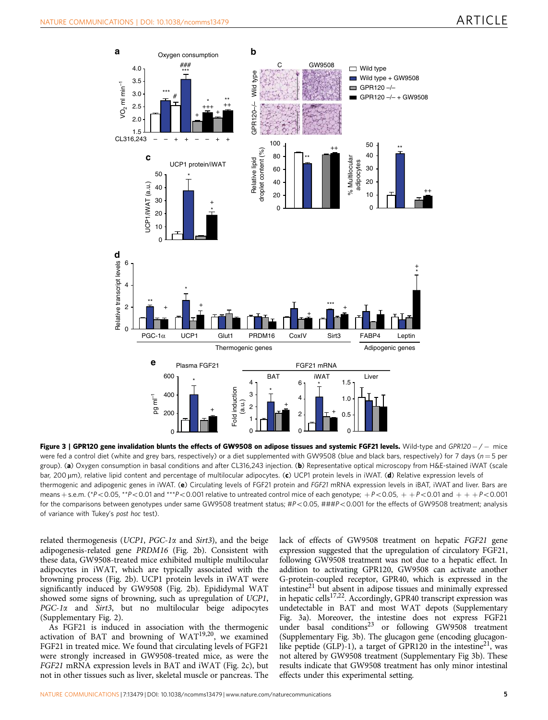<span id="page-4-0"></span>

Figure 3 | GPR120 gene invalidation blunts the effects of GW9508 on adipose tissues and systemic FGF21 levels. Wild-type and GPR120 - / - mice were fed a control diet (white and grey bars, respectively) or a diet supplemented with GW9508 (blue and black bars, respectively) for 7 days ( $n=5$  per group). (a) Oxygen consumption in basal conditions and after CL316,243 injection. (b) Representative optical microscopy from H&E-stained iWAT (scale bar, 200 µm), relative lipid content and percentage of multilocular adipocytes. (c) UCP1 protein levels in iWAT. (d) Relative expression levels of thermogenic and adipogenic genes in iWAT. (e) Circulating levels of FGF21 protein and FGF21 mRNA expression levels in iBAT, iWAT and liver. Bars are means + s.e.m. (\*P<0.05, \*\*P<0.01 and \*\*\*P<0.001 relative to untreated control mice of each genotype;  $+P<0.05$ ,  $+P<0.01$  and  $++P<0.001$ for the comparisons between genotypes under same GW9508 treatment status;  $\#P<0.05$ ,  $\# \# \#P<0.001$  for the effects of GW9508 treatment; analysis of variance with Tukey's post hoc test).

related thermogenesis (UCP1, PGC-1 $\alpha$  and Sirt3), and the beige adipogenesis-related gene PRDM16 ([Fig. 2b](#page-3-0)). Consistent with these data, GW9508-treated mice exhibited multiple multilocular adipocytes in iWAT, which are typically associated with the browning process [\(Fig. 2b\)](#page-3-0). UCP1 protein levels in iWAT were significantly induced by GW9508 [\(Fig. 2b](#page-3-0)). Epididymal WAT showed some signs of browning, such as upregulation of UCP1, PGC-1 $\alpha$  and Sirt3, but no multilocular beige adipocytes (Supplementary Fig. 2).

As FGF21 is induced in association with the thermogenic activation of BAT and browning of WAT[19,20](#page-15-0), we examined FGF21 in treated mice. We found that circulating levels of FGF21 were strongly increased in GW9508-treated mice, as were the FGF21 mRNA expression levels in BAT and iWAT ([Fig. 2c\)](#page-3-0), but not in other tissues such as liver, skeletal muscle or pancreas. The

lack of effects of GW9508 treatment on hepatic FGF21 gene expression suggested that the upregulation of circulatory FGF21, following GW9508 treatment was not due to a hepatic effect. In addition to activating GPR120, GW9508 can activate another G-protein-coupled receptor, GPR40, which is expressed in the intestine<sup>21</sup> but absent in adipose tissues and minimally expressed in hepatic cells<sup>[17,22](#page-15-0)</sup>. Accordingly, GPR40 transcript expression was undetectable in BAT and most WAT depots (Supplementary Fig. 3a). Moreover, the intestine does not express FGF21 under basal conditions<sup>23</sup> or following GW9508 treatment (Supplementary Fig. 3b). The glucagon gene (encoding glucagonlike peptide (GLP)-1), a target of GPR120 in the intestine<sup>21</sup>, was not altered by GW9508 treatment (Supplementary Fig 3b). These results indicate that GW9508 treatment has only minor intestinal effects under this experimental setting.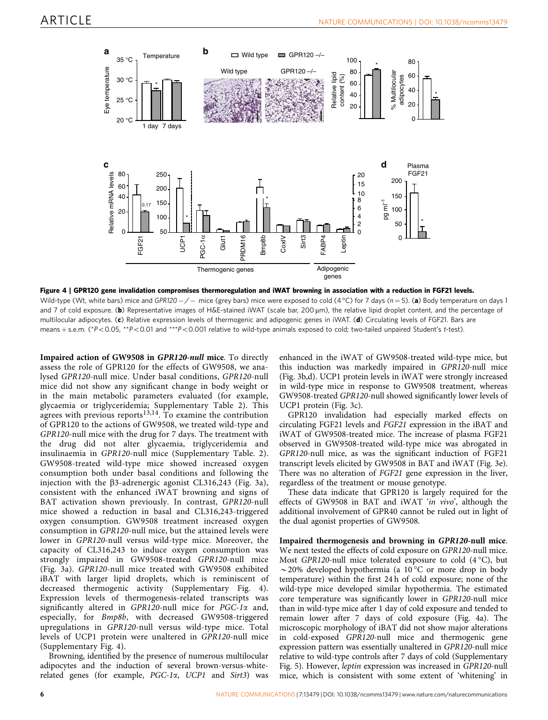<span id="page-5-0"></span>

Figure 4 | GPR120 gene invalidation compromises thermoregulation and iWAT browning in association with a reduction in FGF21 levels. Wild-type (Wt, white bars) mice and GPR120 – / – mice (grey bars) mice were exposed to cold (4 °C) for 7 days ( $n=5$ ). (a) Body temperature on days 1 and 7 of cold exposure. (b) Representative images of H&E-stained iWAT (scale bar, 200  $\mu$ m), the relative lipid droplet content, and the percentage of multilocular adipocytes. (c) Relative expression levels of thermogenic and adipogenic genes in iWAT. (d) Circulating levels of FGF21. Bars are means + s.e.m. (\*P<0.05, \*\*P<0.01 and \*\*\*P<0.001 relative to wild-type animals exposed to cold; two-tailed unpaired Student's t-test).

Impaired action of GW9508 in GPR120-null mice. To directly assess the role of GPR120 for the effects of GW9508, we analysed GPR120-null mice. Under basal conditions, GPR120-null mice did not show any significant change in body weight or in the main metabolic parameters evaluated (for example, glycaemia or triglyceridemia; Supplementary Table 2). This agrees with previous reports $13,14$ . To examine the contribution of GPR120 to the actions of GW9508, we treated wild-type and GPR120-null mice with the drug for 7 days. The treatment with the drug did not alter glycaemia, triglyceridemia and insulinaemia in GPR120-null mice (Supplementary Table. 2). GW9508-treated wild-type mice showed increased oxygen consumption both under basal conditions and following the injection with the  $\beta$ 3-adrenergic agonist CL316,243 ([Fig. 3a](#page-4-0)), consistent with the enhanced iWAT browning and signs of BAT activation shown previously. In contrast, GPR120-null mice showed a reduction in basal and CL316,243-triggered oxygen consumption. GW9508 treatment increased oxygen consumption in GPR120-null mice, but the attained levels were lower in GPR120-null versus wild-type mice. Moreover, the capacity of CL316,243 to induce oxygen consumption was strongly impaired in GW9508-treated GPR120-null mice ([Fig. 3a\)](#page-4-0). GPR120-null mice treated with GW9508 exhibited iBAT with larger lipid droplets, which is reminiscent of decreased thermogenic activity (Supplementary Fig. 4). Expression levels of thermogenesis-related transcripts was significantly altered in GPR120-null mice for  $PGC-1\alpha$  and, especially, for Bmp8b, with decreased GW9508-triggered upregulations in GPR120-null versus wild-type mice. Total levels of UCP1 protein were unaltered in GPR120-null mice (Supplementary Fig. 4).

Browning, identified by the presence of numerous multilocular adipocytes and the induction of several brown-versus-whiterelated genes (for example, PGC-1a, UCP1 and Sirt3) was enhanced in the iWAT of GW9508-treated wild-type mice, but this induction was markedly impaired in GPR120-null mice ([Fig. 3b,d\)](#page-4-0). UCP1 protein levels in iWAT were strongly increased in wild-type mice in response to GW9508 treatment, whereas GW9508-treated GPR120-null showed significantly lower levels of UCP1 protein ([Fig. 3c](#page-4-0)).

GPR120 invalidation had especially marked effects on circulating FGF21 levels and FGF21 expression in the iBAT and iWAT of GW9508-treated mice. The increase of plasma FGF21 observed in GW9508-treated wild-type mice was abrogated in GPR120-null mice, as was the significant induction of FGF21 transcript levels elicited by GW9508 in BAT and iWAT [\(Fig. 3e](#page-4-0)). There was no alteration of FGF21 gene expression in the liver, regardless of the treatment or mouse genotype.

These data indicate that GPR120 is largely required for the effects of GW9508 in BAT and iWAT 'in vivo', although the additional involvement of GPR40 cannot be ruled out in light of the dual agonist properties of GW9508.

Impaired thermogenesis and browning in GPR120-null mice. We next tested the effects of cold exposure on GPR120-null mice. Most GPR120-null mice tolerated exposure to cold  $(4^{\circ}C)$ , but  $\sim$  20% developed hypothermia (a 10 °C or more drop in body temperature) within the first 24 h of cold exposure; none of the wild-type mice developed similar hypothermia. The estimated core temperature was significantly lower in GPR120-null mice than in wild-type mice after 1 day of cold exposure and tended to remain lower after 7 days of cold exposure (Fig. 4a). The microscopic morphology of iBAT did not show major alterations in cold-exposed GPR120-null mice and thermogenic gene expression pattern was essentially unaltered in GPR120-null mice relative to wild-type controls after 7 days of cold (Supplementary Fig. 5). However, leptin expression was increased in GPR120-null mice, which is consistent with some extent of 'whitening' in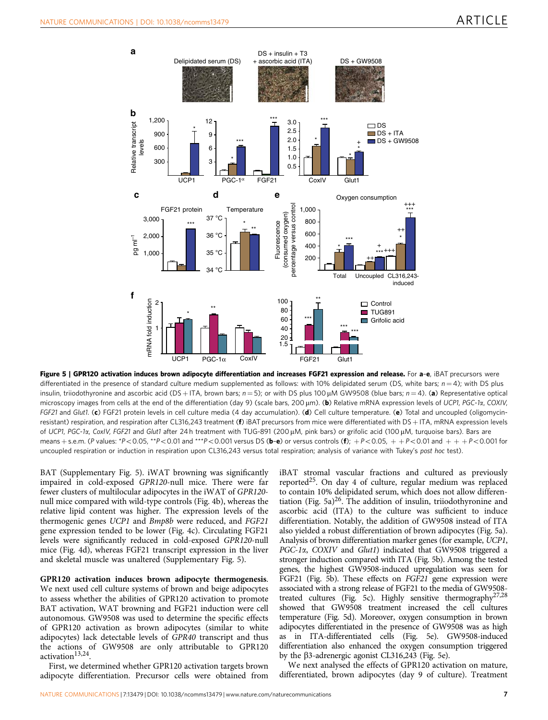<span id="page-6-0"></span>

Figure 5 | GPR120 activation induces brown adipocyte differentiation and increases FGF21 expression and release. For a-e, iBAT precursors were differentiated in the presence of standard culture medium supplemented as follows: with 10% delipidated serum (DS, white bars;  $n = 4$ ); with DS plus insulin, triiodothyronine and ascorbic acid (DS + ITA, brown bars;  $n = 5$ ); or with DS plus 100  $\mu$ M GW9508 (blue bars;  $n = 4$ ). (a) Representative optical microscopy images from cells at the end of the differentiation (day 9) (scale bars, 200 µm). (b) Relative mRNA expression levels of UCP1, PGC-1a, COXIV, FGF21 and Glut1. (c) FGF21 protein levels in cell culture media (4 day accumulation). (d) Cell culture temperature. (e) Total and uncoupled (oligomycinresistant) respiration, and respiration after CL316,243 treatment ( $f$ ) iBAT precursors from mice were differentiated with DS  $+$  ITA, mRNA expression levels of UCP1, PGC-1a, CoxIV, FGF21 and Glut1 after 24 h treatment with TUG-891 (200 µM, pink bars) or grifolic acid (100 µM, turquoise bars). Bars are means + s.e.m. (P values: \*P<0.05, \*\*P<0.01 and \*\*\*P<0.001 versus DS (b-e) or versus controls (f);  $+P<0.05$ ,  $+P<0.01$  and  $++P<0.001$  for uncoupled respiration or induction in respiration upon CL316,243 versus total respiration; analysis of variance with Tukey's post hoc test).

BAT (Supplementary Fig. 5). iWAT browning was significantly impaired in cold-exposed GPR120-null mice. There were far fewer clusters of multilocular adipocytes in the iWAT of GPR120 null mice compared with wild-type controls [\(Fig. 4b\)](#page-5-0), whereas the relative lipid content was higher. The expression levels of the thermogenic genes UCP1 and Bmp8b were reduced, and FGF21 gene expression tended to be lower [\(Fig. 4c\)](#page-5-0). Circulating FGF21 levels were significantly reduced in cold-exposed GPR120-null mice [\(Fig. 4d\)](#page-5-0), whereas FGF21 transcript expression in the liver and skeletal muscle was unaltered (Supplementary Fig. 5).

GPR120 activation induces brown adipocyte thermogenesis. We next used cell culture systems of brown and beige adipocytes to assess whether the abilities of GPR120 activation to promote BAT activation, WAT browning and FGF21 induction were cell autonomous. GW9508 was used to determine the specific effects of GPR120 activation as brown adipocytes (similar to white adipocytes) lack detectable levels of GPR40 transcript and thus the actions of GW9508 are only attributable to GPR120 activation<sup>13,24</sup>.

First, we determined whether GPR120 activation targets brown adipocyte differentiation. Precursor cells were obtained from iBAT stromal vascular fractions and cultured as previously reported<sup>[25](#page-15-0)</sup>. On day 4 of culture, regular medium was replaced to contain 10% delipidated serum, which does not allow differen-tiation (Fig. 5a)<sup>[26](#page-15-0)</sup>. The addition of insulin, triiodothyronine and ascorbic acid (ITA) to the culture was sufficient to induce differentiation. Notably, the addition of GW9508 instead of ITA also yielded a robust differentiation of brown adipocytes (Fig. 5a). Analysis of brown differentiation marker genes (for example, UCP1, PGC-1a, COXIV and Glut1) indicated that GW9508 triggered a stronger induction compared with ITA (Fig. 5b). Among the tested genes, the highest GW9508-induced upregulation was seen for FGF21 (Fig. 5b). These effects on FGF21 gene expression were associated with a strong release of FGF21 to the media of GW9508 treated cultures (Fig. 5c). Highly sensitive thermograph[y27,28](#page-15-0) showed that GW9508 treatment increased the cell cultures temperature (Fig. 5d). Moreover, oxygen consumption in brown adipocytes differentiated in the presence of GW9508 was as high as in ITA-differentiated cells (Fig. 5e). GW9508-induced differentiation also enhanced the oxygen consumption triggered by the  $\beta$ 3-adrenergic agonist CL316,243 (Fig. 5e).

We next analysed the effects of GPR120 activation on mature, differentiated, brown adipocytes (day 9 of culture). Treatment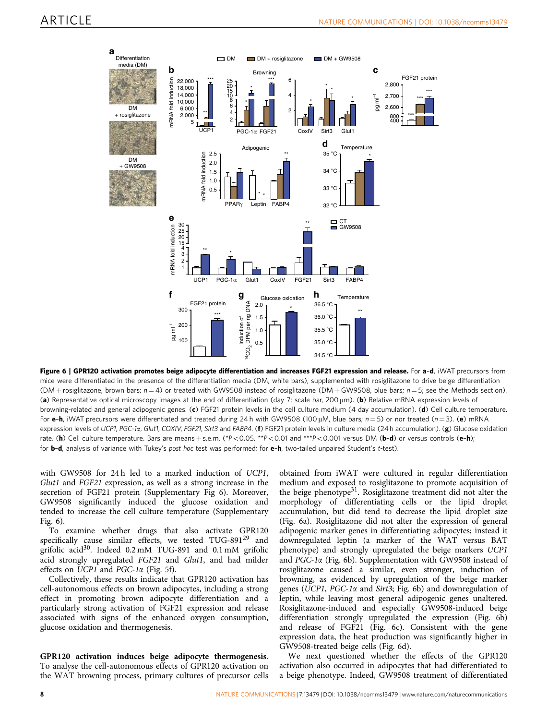<span id="page-7-0"></span>

Figure 6 | GPR120 activation promotes beige adipocyte differentiation and increases FGF21 expression and release. For a-d, iWAT precursors from mice were differentiated in the presence of the differentiation media (DM, white bars), supplemented with rosiglitazone to drive beige differentiation (DM + rosiglitazone, brown bars;  $n = 4$ ) or treated with GW9508 instead of rosiglitazone (DM + GW9508, blue bars;  $n = 5$ ; see the Methods section). (a) Representative optical microscopy images at the end of differentiation (day 7; scale bar, 200 µm). (b) Relative mRNA expression levels of browning-related and general adipogenic genes. (c) FGF21 protein levels in the cell culture medium (4 day accumulation). (d) Cell culture temperature. For e-h, iWAT precursors were differentiated and treated during 24 h with GW9508 (100 µM, blue bars;  $n = 5$ ) or nor treated ( $n = 3$ ). (e) mRNA expression levels of UCP1, PGC-1a, Glut1, COXIV, FGF21, Sirt3 and FABP4. (f) FGF21 protein levels in culture media (24 h accumulation). (g) Glucose oxidation rate. (h) Cell culture temperature. Bars are means + s.e.m. (\*P<0.05, \*\*P<0.01 and \*\*\*P<0.001 versus DM (b-d) or versus controls (e-h); for **b-d**, analysis of variance with Tukey's post hoc test was performed; for **e-h**, two-tailed unpaired Student's t-test).

with GW9508 for 24h led to a marked induction of UCP1, Glut1 and FGF21 expression, as well as a strong increase in the secretion of FGF21 protein (Supplementary Fig 6). Moreover, GW9508 significantly induced the glucose oxidation and tended to increase the cell culture temperature (Supplementary Fig. 6).

To examine whether drugs that also activate GPR120 specifically cause similar effects, we tested TUG-891 $^{29}$  $^{29}$  $^{29}$  and grifolic acid[30](#page-15-0). Indeed 0.2 mM TUG-891 and 0.1 mM grifolic acid strongly upregulated FGF21 and Glut1, and had milder effects on UCP1 and PGC-1a [\(Fig. 5f\)](#page-6-0).

Collectively, these results indicate that GPR120 activation has cell-autonomous effects on brown adipocytes, including a strong effect in promoting brown adipocyte differentiation and a particularly strong activation of FGF21 expression and release associated with signs of the enhanced oxygen consumption, glucose oxidation and thermogenesis.

GPR120 activation induces beige adipocyte thermogenesis. To analyse the cell-autonomous effects of GPR120 activation on the WAT browning process, primary cultures of precursor cells

obtained from iWAT were cultured in regular differentiation medium and exposed to rosiglitazone to promote acquisition of the beige phenotype[31.](#page-15-0) Rosiglitazone treatment did not alter the morphology of differentiating cells or the lipid droplet accumulation, but did tend to decrease the lipid droplet size (Fig. 6a). Rosiglitazone did not alter the expression of general adipogenic marker genes in differentiating adipocytes; instead it downregulated leptin (a marker of the WAT versus BAT phenotype) and strongly upregulated the beige markers UCP1 and PGC-1 $\alpha$  (Fig. 6b). Supplementation with GW9508 instead of rosiglitazone caused a similar, even stronger, induction of browning, as evidenced by upregulation of the beige marker genes (UCP1, PGC-1a and Sirt3; Fig. 6b) and downregulation of leptin, while leaving most general adipogenic genes unaltered. Rosiglitazone-induced and especially GW9508-induced beige differentiation strongly upregulated the expression (Fig. 6b) and release of FGF21 (Fig. 6c). Consistent with the gene expression data, the heat production was significantly higher in GW9508-treated beige cells (Fig. 6d).

We next questioned whether the effects of the GPR120 activation also occurred in adipocytes that had differentiated to a beige phenotype. Indeed, GW9508 treatment of differentiated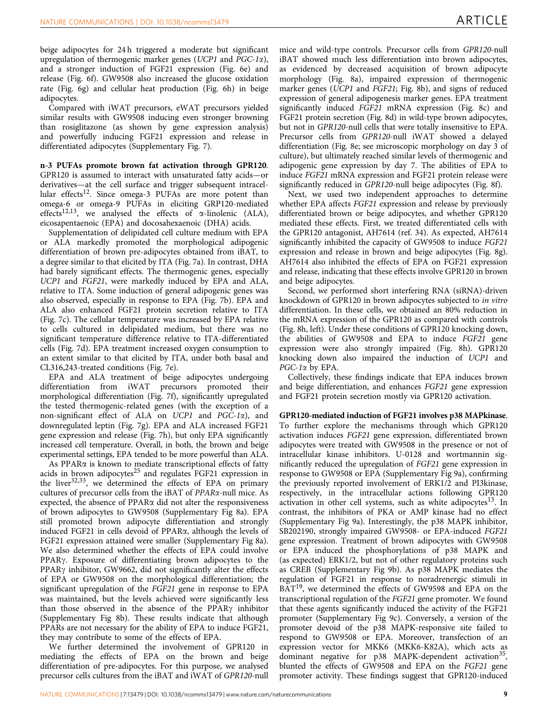beige adipocytes for 24 h triggered a moderate but significant upregulation of thermogenic marker genes (UCP1 and  $PGC-1\alpha$ ), and a stronger induction of FGF21 expression ([Fig. 6e](#page-7-0)) and release [\(Fig. 6f\)](#page-7-0). GW9508 also increased the glucose oxidation rate [\(Fig. 6g](#page-7-0)) and cellular heat production ([Fig. 6h\)](#page-7-0) in beige adipocytes.

Compared with iWAT precursors, eWAT precursors yielded similar results with GW9508 inducing even stronger browning than rosiglitazone (as shown by gene expression analysis) and powerfully inducing FGF21 expression and release in differentiated adipocytes (Supplementary Fig. 7).

n-3 PUFAs promote brown fat activation through GPR120. GPR120 is assumed to interact with unsaturated fatty acids—or derivatives—at the cell surface and trigger subsequent intracel-lular effects<sup>[12](#page-15-0)</sup>. Since omega-3 PUFAs are more potent than omega-6 or omega-9 PUFAs in eliciting GRP120-mediated effects<sup>[12,13](#page-15-0)</sup>, we analysed the effects of  $\alpha$ -linolenic (ALA), eicosapentaenoic (EPA) and docosahexaenoic (DHA) acids.

Supplementation of delipidated cell culture medium with EPA or ALA markedly promoted the morphological adipogenic differentiation of brown pre-adipocytes obtained from iBAT, to a degree similar to that elicited by ITA [\(Fig. 7a](#page-9-0)). In contrast, DHA had barely significant effects. The thermogenic genes, especially UCP1 and FGF21, were markedly induced by EPA and ALA, relative to ITA. Some induction of general adipogenic genes was also observed, especially in response to EPA ([Fig. 7b](#page-9-0)). EPA and ALA also enhanced FGF21 protein secretion relative to ITA ([Fig. 7c\)](#page-9-0). The cellular temperature was increased by EPA relative to cells cultured in delipidated medium, but there was no significant temperature difference relative to ITA-differentiated cells [\(Fig. 7d\)](#page-9-0). EPA treatment increased oxygen consumption to an extent similar to that elicited by ITA, under both basal and CL316,243-treated conditions ([Fig. 7e](#page-9-0)).

EPA and ALA treatment of beige adipocytes undergoing differentiation from iWAT precursors promoted their morphological differentiation [\(Fig. 7f](#page-9-0)), significantly upregulated the tested thermogenic-related genes (with the exception of a non-significant effect of ALA on UCP1 and PGC-1a), and downregulated leptin ([Fig. 7g](#page-9-0)). EPA and ALA increased FGF21 gene expression and release ([Fig. 7h](#page-9-0)), but only EPA significantly increased cell temperature. Overall, in both, the brown and beige experimental settings, EPA tended to be more powerful than ALA.

As PPAR $\alpha$  is known to mediate transcriptional effects of fatty acids in brown adipocytes<sup>[25](#page-15-0)</sup> and regulates FGF21 expression in the liver $32,33$ , we determined the effects of EPA on primary cultures of precursor cells from the iBAT of PPARa-null mice. As expected, the absence of PPARa did not alter the responsiveness of brown adipocytes to GW9508 (Supplementary Fig 8a). EPA still promoted brown adipocyte differentiation and strongly induced FGF21 in cells devoid of PPARa, although the levels of FGF21 expression attained were smaller (Supplementary Fig 8a). We also determined whether the effects of EPA could involve PPAR<sub>Y</sub>. Exposure of differentiating brown adipocytes to the PPAR<sub>Y</sub> inhibitor, GW9662, did not significantly alter the effects of EPA or GW9508 on the morphological differentiation; the significant upregulation of the FGF21 gene in response to EPA was maintained, but the levels achieved were significantly less than those observed in the absence of the PPAR $\gamma$  inhibitor (Supplementary Fig 8b). These results indicate that although PPARs are not necessary for the ability of EPA to induce FGF21, they may contribute to some of the effects of EPA.

We further determined the involvement of GPR120 in mediating the effects of EPA on the brown and beige differentiation of pre-adipocytes. For this purpose, we analysed precursor cells cultures from the iBAT and iWAT of GPR120-null mice and wild-type controls. Precursor cells from GPR120-null iBAT showed much less differentiation into brown adipocytes, as evidenced by decreased acquisition of brown adipocyte morphology [\(Fig. 8a\)](#page-10-0), impaired expression of thermogenic marker genes (UCP1 and FGF21; [Fig. 8b](#page-10-0)), and signs of reduced expression of general adipogenesis marker genes. EPA treatment significantly induced FGF21 mRNA expression [\(Fig. 8c\)](#page-10-0) and FGF21 protein secretion [\(Fig. 8d](#page-10-0)) in wild-type brown adipocytes, but not in GPR120-null cells that were totally insensitive to EPA. Precursor cells from GPR120-null iWAT showed a delayed differentiation ([Fig. 8e](#page-10-0); see microscopic morphology on day 3 of culture), but ultimately reached similar levels of thermogenic and adipogenic gene expression by day 7. The abilities of EPA to induce FGF21 mRNA expression and FGF21 protein release were significantly reduced in GPR120-null beige adipocytes ([Fig. 8f\)](#page-10-0).

Next, we used two independent approaches to determine whether EPA affects FGF21 expression and release by previously differentiated brown or beige adipocytes, and whether GPR120 mediated these effects. First, we treated differentiated cells with the GPR120 antagonist, AH7614 ([ref. 34](#page-15-0)). As expected, AH7614 significantly inhibited the capacity of GW9508 to induce FGF21 expression and release in brown and beige adipocytes [\(Fig. 8g](#page-10-0)). AH7614 also inhibited the effects of EPA on FGF21 expression and release, indicating that these effects involve GPR120 in brown and beige adipocytes.

Second, we performed short interfering RNA (siRNA)-driven knockdown of GPR120 in brown adipocytes subjected to in vitro differentiation. In these cells, we obtained an 80% reduction in the mRNA expression of the GPR120 as compared with controls ([Fig. 8h,](#page-10-0) left). Under these conditions of GPR120 knocking down, the abilities of GW9508 and EPA to induce FGF21 gene expression were also strongly impaired ([Fig. 8h](#page-10-0)). GPR120 knocking down also impaired the induction of UCP1 and PGC-1 $\alpha$  by EPA.

Collectively, these findings indicate that EPA induces brown and beige differentiation, and enhances FGF21 gene expression and FGF21 protein secretion mostly via GPR120 activation.

#### GPR120-mediated induction of FGF21 involves p38 MAPkinase.

To further explore the mechanisms through which GPR120 activation induces FGF21 gene expression, differentiated brown adipocytes were treated with GW9508 in the presence or not of intracellular kinase inhibitors. U-0128 and wortmannin significantly reduced the upregulation of FGF21 gene expression in response to GW9508 or EPA (Supplementary Fig 9a), confirming the previously reported involvement of ERK1/2 and PI3kinase, respectively, in the intracellular actions following GPR120 activation in other cell systems, such as white adipocytes<sup>[13](#page-15-0)</sup>. In contrast, the inhibitors of PKA or AMP kinase had no effect (Supplementary Fig 9a). Interestingly, the p38 MAPK inhibitor, SB202190, strongly impaired GW9508- or EPA-induced FGF21 gene expression. Treatment of brown adipocytes with GW9508 or EPA induced the phosphorylations of p38 MAPK and (as expected) ERK1/2, but not of other regulatory proteins such as CREB (Supplementary Fig 9b). As p38 MAPK mediates the regulation of FGF21 in response to noradrenergic stimuli in BAT<sup>19</sup>, we determined the effects of GW9598 and EPA on the transcriptional regulation of the FGF21 gene promoter. We found that these agents significantly induced the activity of the FGF21 promoter (Supplementary Fig 9c). Conversely, a version of the promoter devoid of the p38 MAPK-responsive site failed to respond to GW9508 or EPA. Moreover, transfection of an expression vector for MKK6 (MKK6-K82A), which acts as dominant negative for p38 MAPK-dependent activation<sup>35</sup>, blunted the effects of GW9508 and EPA on the FGF21 gene promoter activity. These findings suggest that GPR120-induced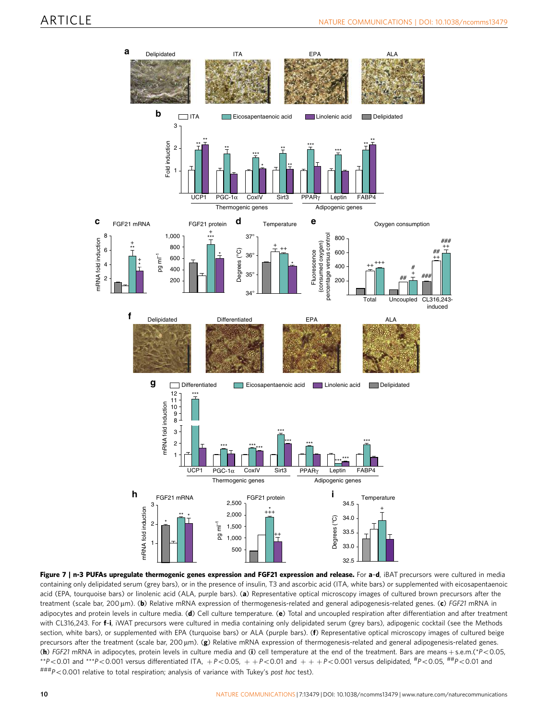<span id="page-9-0"></span>

Figure 7 | n-3 PUFAs upregulate thermogenic genes expression and FGF21 expression and release. For a-d, iBAT precursors were cultured in media containing only delipidated serum (grey bars), or in the presence of insulin, T3 and ascorbic acid (ITA, white bars) or supplemented with eicosapentaenoic acid (EPA, tourquoise bars) or linolenic acid (ALA, purple bars). (a) Representative optical microscopy images of cultured brown precursors after the treatment (scale bar, 200 µm). (b) Relative mRNA expression of thermogenesis-related and general adipogenesis-related genes. (c) FGF21 mRNA in adipocytes and protein levels in culture media. (d) Cell culture temperature. (e) Total and uncoupled respiration after differentiation and after treatment with CL316,243. For f-i, iWAT precursors were cultured in media containing only delipidated serum (grey bars), adipogenic cocktail (see the Methods section, white bars), or supplemented with EPA (turquoise bars) or ALA (purple bars). (f) Representative optical microscopy images of cultured beige precursors after the treatment (scale bar, 200  $\mu$ m). (g) Relative mRNA expression of thermogenesis-related and general adipogenesis-related genes. (h) FGF21 mRNA in adipocytes, protein levels in culture media and (i) cell temperature at the end of the treatment. Bars are means + s.e.m.(\*P<0.05, \*\*P<0.01 and \*\*\*P<0.001 versus differentiated ITA, +P<0.05, ++P<0.01 and +++P<0.001 versus delipidated,  ${}^{#}P$ <0.05,  ${}^{#}P$ <0.01 and  $^{\# \# \#}P < 0.001$  relative to total respiration; analysis of variance with Tukey's post hoc test).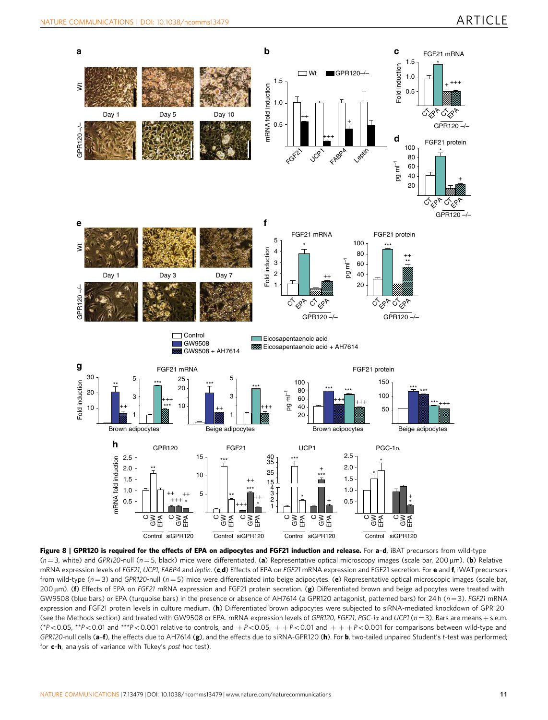<span id="page-10-0"></span>

Figure 8 | GPR120 is required for the effects of EPA on adipocytes and FGF21 induction and release. For a-d, iBAT precursors from wild-type  $(n = 3, \text{ white})$  and GPR120-null (n = 5, black) mice were differentiated. (a) Representative optical microscopy images (scale bar, 200 µm). (b) Relative mRNA expression levels of FGF21, UCP1, FABP4 and leptin. (c,d) Effects of EPA on FGF21 mRNA expression and FGF21 secretion. For e and f, iWAT precursors from wild-type ( $n = 3$ ) and GPR120-null ( $n = 5$ ) mice were differentiated into beige adipocytes. (e) Representative optical microscopic images (scale bar, 200 µm). (f) Effects of EPA on FGF21 mRNA expression and FGF21 protein secretion. (g) Differentiated brown and beige adipocytes were treated with GW9508 (blue bars) or EPA (turquoise bars) in the presence or absence of AH7614 (a GPR120 antagonist, patterned bars) for 24 h ( $n = 3$ ). FGF21 mRNA expression and FGF21 protein levels in culture medium. (h) Differentiated brown adipocytes were subjected to siRNA-mediated knockdown of GPR120 (see the Methods section) and treated with GW9508 or EPA. mRNA expression levels of GPR120, FGF21, PGC-1 $\alpha$  and UCP1 ( $n=3$ ). Bars are means + s.e.m. (\*P<0.05, \*\*P<0.01 and \*\*\*P<0.001 relative to controls, and  $+P<0.05$ ,  $+P<0.01$  and  $++P<0.001$  for comparisons between wild-type and GPR120-null cells (a-f), the effects due to AH7614 (g), and the effects due to siRNA-GPR120 (h). For b, two-tailed unpaired Student's t-test was performed; for c-h, analysis of variance with Tukey's post hoc test).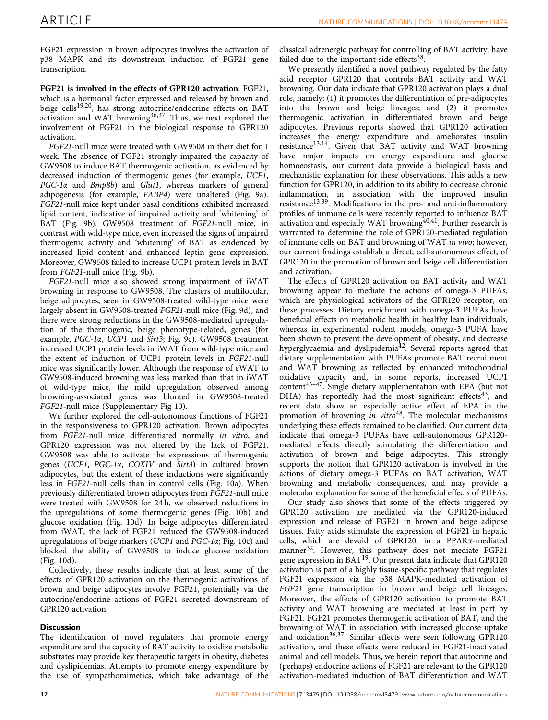FGF21 expression in brown adipocytes involves the activation of p38 MAPK and its downstream induction of FGF21 gene transcription.

FGF21 is involved in the effects of GPR120 activation. FGF21, which is a hormonal factor expressed and released by brown and beige cells<sup>19,20</sup>, has strong autocrine/endocrine effects on BAT activation and WAT browning<sup>36,37</sup>. Thus, we next explored the involvement of FGF21 in the biological response to GPR120 activation.

FGF21-null mice were treated with GW9508 in their diet for 1 week. The absence of FGF21 strongly impaired the capacity of GW9508 to induce BAT thermogenic activation, as evidenced by decreased induction of thermogenic genes (for example, UCP1, PGC-1 $\alpha$  and Bmp8b) and Glut1, whereas markers of general adipogenesis (for example, FABP4) were unaltered [\(Fig. 9a](#page-12-0)). FGF21-null mice kept under basal conditions exhibited increased lipid content, indicative of impaired activity and 'whitening' of BAT ([Fig. 9b](#page-12-0)). GW9508 treatment of FGF21-null mice, in contrast with wild-type mice, even increased the signs of impaired thermogenic activity and 'whitening' of BAT as evidenced by increased lipid content and enhanced leptin gene expression. Moreover, GW9508 failed to increase UCP1 protein levels in BAT from FGF21-null mice [\(Fig. 9b](#page-12-0)).

FGF21-null mice also showed strong impairment of iWAT browning in response to GW9508. The clusters of multilocular, beige adipocytes, seen in GW9508-treated wild-type mice were largely absent in GW9508-treated FGF21-null mice ([Fig. 9d\)](#page-12-0), and there were strong reductions in the GW9508-mediated upregulation of the thermogenic, beige phenotype-related, genes (for example, PGC-1a, UCP1 and Sirt3; [Fig. 9c](#page-12-0)). GW9508 treatment increased UCP1 protein levels in iWAT from wild-type mice and the extent of induction of UCP1 protein levels in FGF21-null mice was significantly lower. Although the response of eWAT to GW9508-induced browning was less marked than that in iWAT of wild-type mice, the mild upregulation observed among browning-associated genes was blunted in GW9508-treated FGF21-null mice (Supplementary Fig 10).

We further explored the cell-autonomous functions of FGF21 in the responsiveness to GPR120 activation. Brown adipocytes from FGF21-null mice differentiated normally in vitro, and GPR120 expression was not altered by the lack of FGF21. GW9508 was able to activate the expressions of thermogenic genes (UCP1, PGC-1a, COXIV and Sirt3) in cultured brown adipocytes, but the extent of these inductions were significantly less in FGF21-null cells than in control cells ([Fig. 10a\)](#page-13-0). When previously differentiated brown adipocytes from FGF21-null mice were treated with GW9508 for 24 h, we observed reductions in the upregulations of some thermogenic genes [\(Fig. 10b](#page-13-0)) and glucose oxidation [\(Fig. 10d](#page-13-0)). In beige adipocytes differentiated from iWAT, the lack of FGF21 reduced the GW9508-induced upregulations of beige markers (UCP1 and PGC-1a; [Fig. 10c\)](#page-13-0) and blocked the ability of GW9508 to induce glucose oxidation ([Fig. 10d\)](#page-13-0).

Collectively, these results indicate that at least some of the effects of GPR120 activation on the thermogenic activations of brown and beige adipocytes involve FGF21, potentially via the autocrine/endocrine actions of FGF21 secreted downstream of GPR120 activation.

## **Discussion**

The identification of novel regulators that promote energy expenditure and the capacity of BAT activity to oxidize metabolic substrates may provide key therapeutic targets in obesity, diabetes and dyslipidemias. Attempts to promote energy expenditure by the use of sympathomimetics, which take advantage of the

classical adrenergic pathway for controlling of BAT activity, have failed due to the important side effects $38$ .

We presently identified a novel pathway regulated by the fatty acid receptor GPR120 that controls BAT activity and WAT browning. Our data indicate that GPR120 activation plays a dual role, namely: (1) it promotes the differentiation of pre-adipocytes into the brown and beige lineages; and (2) it promotes thermogenic activation in differentiated brown and beige adipocytes. Previous reports showed that GPR120 activation increases the energy expenditure and ameliorates insulin resistance<sup>13,14</sup>. Given that BAT activity and WAT browning have major impacts on energy expenditure and glucose homoeostasis, our current data provide a biological basis and mechanistic explanation for these observations. This adds a new function for GPR120, in addition to its ability to decrease chronic inflammation, in association with the improved insulin resistance<sup>13,39</sup>. Modifications in the pro- and anti-inflammatory profiles of immune cells were recently reported to influence BAT activation and especially WAT browning $40,41$ . Further research is warranted to determine the role of GPR120-mediated regulation of immune cells on BAT and browning of WAT in vivo; however, our current findings establish a direct, cell-autonomous effect, of GPR120 in the promotion of brown and beige cell differentiation and activation.

The effects of GPR120 activation on BAT activity and WAT browning appear to mediate the actions of omega-3 PUFAs, which are physiological activators of the GPR120 receptor, on these processes. Dietary enrichment with omega-3 PUFAs have beneficial effects on metabolic health in healthy lean individuals, whereas in experimental rodent models, omega-3 PUFA have been shown to prevent the development of obesity, and decrease hyperglycaemia and dyslipidemia<sup>[42](#page-15-0)</sup>. Several reports agreed that dietary supplementation with PUFAs promote BAT recruitment and WAT browning as reflected by enhanced mitochondrial oxidative capacity and, in some reports, increased UCP1 content<sup>43–47</sup>. Single dietary supplementation with EPA (but not DHA) has reportedly had the most significant effects<sup>[43](#page-15-0)</sup>, and recent data show an especially active effect of EPA in the promotion of browning in  $vitro<sup>48</sup>$ . The molecular mechanisms underlying these effects remained to be clarified. Our current data indicate that omega-3 PUFAs have cell-autonomous GPR120 mediated effects directly stimulating the differentiation and activation of brown and beige adipocytes. This strongly supports the notion that GPR120 activation is involved in the actions of dietary omega-3 PUFAs on BAT activation, WAT browning and metabolic consequences, and may provide a molecular explanation for some of the beneficial effects of PUFAs.

Our study also shows that some of the effects triggered by GPR120 activation are mediated via the GPR120-induced expression and release of FGF21 in brown and beige adipose tissues. Fatty acids stimulate the expression of FGF21 in hepatic cells, which are devoid of GPR120, in a PPARa-mediated manner<sup>[32](#page-15-0)</sup>. However, this pathway does not mediate FGF21 gene expression in BAT<sup>[19](#page-15-0)</sup>. Our present data indicate that GPR120 activation is part of a highly tissue-specific pathway that regulates FGF21 expression via the p38 MAPK-mediated activation of FGF21 gene transcription in brown and beige cell lineages. Moreover, the effects of GPR120 activation to promote BAT activity and WAT browning are mediated at least in part by FGF21. FGF21 promotes thermogenic activation of BAT, and the browning of WAT in association with increased glucose uptake and oxidation<sup>36,37</sup>. Similar effects were seen following GPR120 activation, and these effects were reduced in FGF21-inactivated animal and cell models. Thus, we herein report that autocrine and (perhaps) endocrine actions of FGF21 are relevant to the GPR120 activation-mediated induction of BAT differentiation and WAT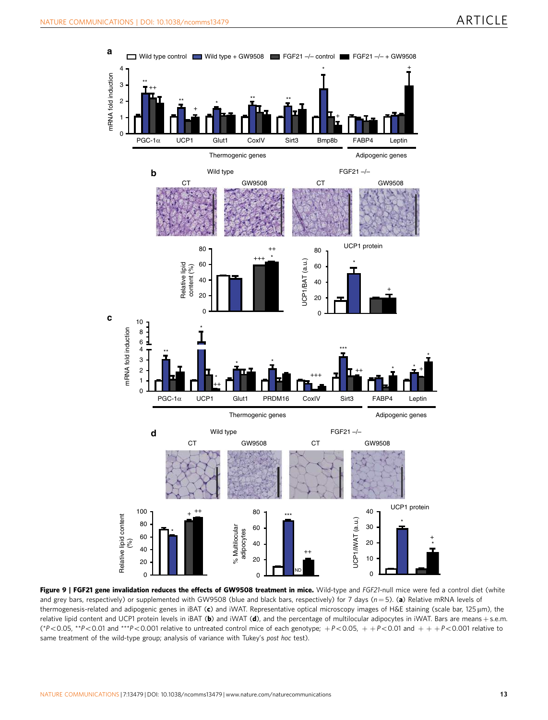<span id="page-12-0"></span>

Figure 9 | FGF21 gene invalidation reduces the effects of GW9508 treatment in mice. Wild-type and FGF21-null mice were fed a control diet (white and grey bars, respectively) or supplemented with GW9508 (blue and black bars, respectively) for 7 days ( $n = 5$ ). (a) Relative mRNA levels of thermogenesis-related and adipogenic genes in iBAT (c) and iWAT. Representative optical microscopy images of H&E staining (scale bar, 125  $\mu$ m), the relative lipid content and UCP1 protein levels in iBAT (b) and iWAT (d), and the percentage of multilocular adipocytes in iWAT. Bars are means + s.e.m. (\*P<0.05, \*\*P<0.01 and \*\*\*P<0.001 relative to untreated control mice of each genotype;  $+P<0.05$ ,  $+P<0.01$  and  $++P<0.001$  relative to same treatment of the wild-type group; analysis of variance with Tukey's post hoc test).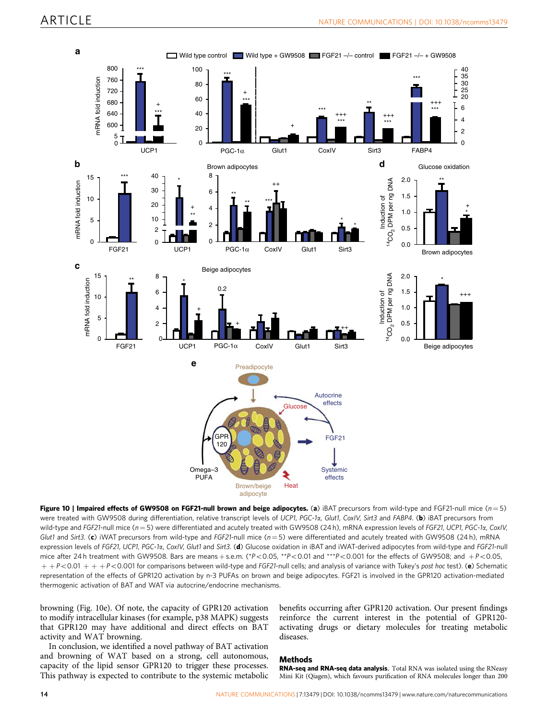<span id="page-13-0"></span>

Figure 10 | Impaired effects of GW9508 on FGF21-null brown and beige adipocytes. (a) iBAT precursors from wild-type and FGF21-null mice ( $n=5$ ) were treated with GW9508 during differentiation, relative transcript levels of UCP1, PGC-1a, Glut1, CoxIV, Sirt3 and FABP4. (b) iBAT precursors from wild-type and FGF21-null mice ( $n = 5$ ) were differentiated and acutely treated with GW9508 (24 h), mRNA expression levels of FGF21, UCP1, PGC-1 $\alpha$ , CoxIV, Glut1 and Sirt3. (c) iWAT precursors from wild-type and FGF21-null mice ( $n = 5$ ) were differentiated and acutely treated with GW9508 (24 h), mRNA expression levels of FGF21, UCP1, PGC-1a, CoxIV, Glut1 and Sirt3. (d) Glucose oxidation in iBAT and iWAT-derived adipocytes from wild-type and FGF21-null mice after 24 h treatment with GW9508. Bars are means + s.e.m. (\*P<0.05, \*\*P<0.01 and \*\*\*P<0.001 for the effects of GW9508; and +P<0.05,  $+P<0.01 + +P<0.001$  for comparisons between wild-type and FGF21-null cells; and analysis of variance with Tukey's post hoc test). (e) Schematic representation of the effects of GPR120 activation by n-3 PUFAs on brown and beige adipocytes. FGF21 is involved in the GPR120 activation-mediated thermogenic activation of BAT and WAT via autocrine/endocrine mechanisms.

browning (Fig. 10e). Of note, the capacity of GPR120 activation to modify intracellular kinases (for example, p38 MAPK) suggests that GPR120 may have additional and direct effects on BAT activity and WAT browning.

In conclusion, we identified a novel pathway of BAT activation and browning of WAT based on a strong, cell autonomous, capacity of the lipid sensor GPR120 to trigger these processes. This pathway is expected to contribute to the systemic metabolic benefits occurring after GPR120 activation. Our present findings reinforce the current interest in the potential of GPR120 activating drugs or dietary molecules for treating metabolic diseases.

#### Methods

RNA-seq and RNA-seq data analysis. Total RNA was isolated using the RNeasy Mini Kit (Qiagen), which favours purification of RNA molecules longer than 200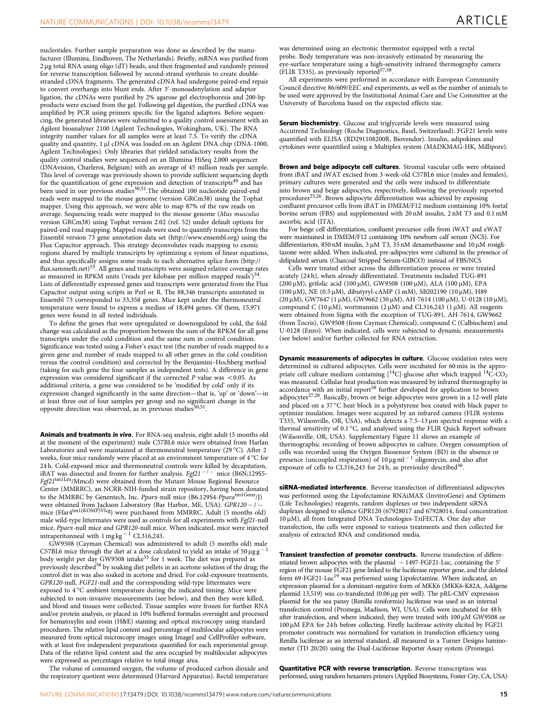nucleotides. Further sample preparation was done as described by the manufacturer (Illumina, Eindhoven, The Netherlands). Briefly, mRNA was purified from 2 µg total RNA using oligo (dT) beads, and then fragmented and randomly primed for reverse transcription followed by second-strand synthesis to create double stranded cDNA fragments. The generated cDNA had undergone paired-end repair to convert overhangs into blunt ends. After 3'-monoadenylation and adaptor ligation, the cDNAs were purified by 2% agarose gel electrophoresis and 200-bp products were excised from the gel. Following gel digestion, the purified cDNA was amplified by PCR using primers specific for the ligated adaptors. Before sequencing, the generated libraries were submitted to a quality control assessment with an Agilent bioanalyzer 2100 (Agilent Technologies, Wokingham, UK). The RNA integrity number values for all samples were at least 7.5. To verify the cDNA quality and quantity, 1 µl cDNA was loaded on an Agilent DNA chip (DNA-1000, Agilent Technologies). Only libraries that yielded satisfactory results from the quality control studies were sequenced on an Illumina HiSeq 2,000 sequencer (DNAvision, Charleroi, Belgium) with an average of 45 million reads per sample. This level of coverage was previously shown to provide sufficient sequencing depth for the quantification of gene expression and detection of transcripts<sup>[49](#page-16-0)</sup> and has been used in our previous studies<sup>50,51</sup>.The obtained 100 nucleotide paired-end reads were mapped to the mouse genome (version GRCm38) using the Tophat mapper. Using this approach, we were able to map 87% of the raw reads on average. Sequencing reads were mapped to the mouse genome (Mus musculus version GRCm38) using Tophat version 2.02 [\(ref. 52\)](#page-16-0) under default options for paired-end read mapping. Mapped reads were used to quantify transcripts from the Ensembl version 73 gene annotation data set [\(http://www.ensembl.org](http://www.ensembl.org)) using the Flux Capacitor approach. This strategy deconvolutes reads mapping to exonic regions shared by multiple transcripts by optimizing a system of linear equations, and thus specifically assigns some reads to each alternative splice form [\(http://](http://flux.sammeth.net)<br>[flux.sammeth.net](http://flux.sammeth.net))<sup>[53](#page-16-0)</sup>. All genes and transcripts were assigned relative coverage rates as measured in RPKM units ('reads per kilobase per million mapped reads')<sup>54</sup>. Lists of differentially expressed genes and transcripts were generated from the Flux Capacitor output using scripts in Perl or R. The 88,346 transcripts annotated in Ensembl 73 corresponded to 33,358 genes. Mice kept under the thermoneutral temperature were found to express a median of 18,494 genes. Of them, 15,971 genes were found in all tested individuals.

To define the genes that were upregulated or downregulated by cold, the fold change was calculated as the proportion between the sum of the RPKM for all gene transcripts under the cold condition and the same sum in control condition. Significance was tested using a Fisher's exact test (the number of reads mapped to a given gene and number of reads mapped to all other genes in the cold condition versus the control condition) and corrected by the Benjamini–Hochberg method (taking for each gene the four samples as independent tests). A difference in gene expression was considered significant if the corrected  $P$  value was <0.05. As additional criteria, a gene was considered to be 'modified by cold' only if its expression changed significantly in the same direction—that is, 'up' or 'down'—in at least three out of four samples per group and no significant change in the opposite direction was observed, as in previous studies<sup>[50,51](#page-16-0)</sup>.

Animals and treatments in vivo. For RNA-seq analysis, eight adult (5 months old at the moment of the experiment) male C57BL6 mice were obtained from Harlan Laboratories and were maintained at thermoneutral temperature (29 °C). After 2  $\,$ weeks, four mice randomly were placed at an environment temperature of 4  $^\circ\text{C}$  for 24 h. Cold-exposed mice and thermoneutral controls were killed by decapitation, iBAT was dissected and frozen for further analysis.  $Fgf21^{-/-}$  mice (B6N;129S5-Fgf21tm1Lex/Mmcd) were obtained from the Mutant Mouse Regional Resource Center (MMRRC), an NCRR-NIH-funded strain repository, having been donated<br>to the MMRRC by Genentech, Inc. *Ppara-*null mice (B6.129S4*-Ppara<sup>tm1Gonz</sup>/J*) were obtained from Jackson Laboratory (Bar Harbor, ME, USA). GPR120 – / – mice (Ffar4<sup>tm1(KOMP)Vlcg</sup>) were purchased from MMRRC. Adult (5 months old) male wild-type littermates were used as controls for all experiments with Fgf21-null mice, Ppara-null mice and GPR120-null mice. When indicated, mice were injected intraperitonneal with  $1 \text{ mg kg}^{-1}$  CL316,243.

GW9508 (Cayman Chemical) was administered to adult (5 months old) male C57BL6 mice through the diet at a dose calculated to yield an intake of 50  $\mu$ g g 1 body weight per day GW9508 intake<sup>[55](#page-16-0)</sup> for 1 week. The diet was prepared as previously described<sup>[56](#page-16-0)</sup> by soaking diet pellets in an acetone solution of the drug; the control diet in was also soaked in acetone and dried. For cold-exposure treatments, GPR120-null, FGF21-null and the corresponding wild-type littermates were exposed to 4 °C ambient temperature during the indicated timing. Mice were subjected to non-invasive measurements (see below), and then they were killed, and blood and tissues were collected. Tissue samples were frozen for further RNA and/or protein analysis, or placed in 10% buffered formalin overnight and processed for hematoxylin and eosin (H&E) staining and optical microscopy using standard procedures. The relative lipid content and percentage of multilocular adipocytes were measured from optical microscopy images using ImageJ and CellProfiler software, with at least five independent preparations quantified for each experimental group. Data of the relative lipid content and the area occupied by multilocular adipocytes were expressed as percentages relative to total image area.

The volume of consumed oxygen, the volume of produced carbon dioxide and the respiratory quotient were determined (Harvard Apparatus). Rectal temperature

was determined using an electronic thermistor equipped with a rectal probe. Body temperature was non-invasively estimated by measuring the eye-surface temperature using a high-sensitivity infrared thermography camera (FLIR T335), as previously reported<sup>57,58</sup>.

All experiments were performed in accordance with European Community Council directive 86/609/EEC and experiments, as well as the number of animals to be used were approved by the Institutional Animal Care and Use Committee at the University of Barcelona based on the expected effects size.

Serum biochemistry. Glucose and triglyceride levels were measured using Accutrend Technology (Roche Diagnostics, Basel, Switzerland). FGF21 levels were quantified with ELISA (RD291108200R, Biovendor). Insulin, adipokines and cytokines were quantified using a Multiplex system (MADKMAG-HK, Millipore).

Brown and beige adipocyte cell cultures. Stromal vascular cells were obtained from iBAT and iWAT excised from 3-week-old C57BL6 mice (males and females), primary cultures were generated and the cells were induced to differentiate into brown and beige adipocytes, respectively, following the previously reported procedures<sup>[25,26](#page-15-0)</sup>. Brown adipocyte differentiation was achieved by exposing confluent precursor cells from iBAT in DMEM/F12 medium containing 10% foetal bovine serum (FBS) and supplemented with 20 nM insulin, 2 nM T3 and 0.1 mM ascorbic acid (ITA).

For beige cell differentiation, confluent precursor cells from iWAT and eWAT were maintained in DMEM/F12 containing 10% newborn calf serum (NCS). For differentiarion, 850 nM insulin, 3  $\mu$ M T3, 35 nM dexamethasone and 10  $\mu$ M rosiglitazone were added. When indicated, pre-adipocytes were cultured in the presence of delipidated serum (Charcoal Stripped Serum-GIBCO) instead of FBS/NCS

Cells were treated either across the differentiation process or were treated acutely (24 h), when already differentiated. Treatments included TUG-891 (200 μM), grifolic acid (100 μM), GW9508 (100 μM), ALA (100 μM), EPA (100  $\mu$ M), NE (0.5  $\mu$ M), dibutyryl-cAMP (1 mM), SB202190 (10  $\mu$ M), H89 (20 mM), GW7647 (1 mM), GW9662 (30 mM), AH-7614 (100 mM), U-0128 (10 mM), compound C (10  $\mu$ M), wortmannin (2  $\mu$ M) and CL316,243 (1  $\mu$ M). All reagents were obtained from Sigma with the exception of TUG-891, AH-7614, GW9662 (from Tocris), GW9508 (from Cayman Chemical), compound C (Calbiochem) and U-0128 (Enzo). When indicated, cells were subjected to dynamic measurements (see below) and/or further collected for RNA extraction.

Dynamic measurements of adipocytes in culture. Glucose oxidation rates were determined in cultured adipocytes. Cells were incubated for 60 min in the appropriate cell culture medium containing  $[$ <sup>14</sup>C]-glucose after which trapped <sup>14</sup>C-CO<sub>2</sub> was measured. Cellular heat production was measured by infrared thermography in accordance with an initial report<sup>[59](#page-16-0)</sup> further developed for application to brown adipocytes<sup>27,28</sup>. Basically, brown or beige adipocytes were grown in a 12-well plate and placed on a 37  $\degree$ C heat block in a polystyrene box coated with black paper to optimize insulation. Images were acquired by an infrared camera (FLIR systems T335, Wilsonville, OR, USA), which detects a  $7.5-13 \,\mu m$  spectral response with a thermal sensitivity of  $0.1 \degree C$ , and analysed using the FLIR Quick Report software (Wilsonville, OR, USA). Supplementary Figure 11 shows an example of thermographic recording of brown adipocytes in culture. Oxygen consumption of cells was recorded using the Oxygen Biosensor System (BD) in the absence or presence (uncoupled respiration) of  $10 \mu\text{g} \text{m}^{-1}$  oligomycin, and also after exposure of cells to CL316,243 for 24 h, as previoulsy described<sup>36</sup>.

siRNA-mediated interference. Reverse transfection of differentiated adipocytes was performed using the Lipofectamine RNAiMAX (InvitroGene) and Optimem (Life Technologies) reagents, random duplexes or two independent siRNA duplexes designed to silence GPR120 (67928017 and 67928014, final concentration  $10 \,\mu$ M), all from Integrated DNA Technologies-TriFECTA. One day after transfection, the cells were exposed to various treatments and then collected for analysis of extracted RNA and conditioned media.

Transient transfection of promoter constructs. Reverse transfection of differentiated brown adipocytes with the plasmid  $-1497$ -FGF21-Luc, containing the 5<sup>t</sup> region of the mouse FGF21 gene linked to the luciferase reporter gene, and the deleted form 69-FGF21-Luc<sup>[19](#page-15-0)</sup> was performed using Lipofectamine. Where indicated, an expression plasmid for a dominant-negative form of MKK6 (MKK6-K82A, Addgene plasmid 13,519) was co-transfected (0.06 µg per well). The pRL-CMV expression plasmid for the sea pansy (Renilla reniformis) luciferase was used as an internal transfection control (Promega, Madison, WI, USA). Cells were incubated for 48 h after transfection, and where indicated, they were treated with  $100 \mu$ M GW9508 or 100 µM EPA for 24 h before collecting. Firefly luciferase activity elicited by FGF21 promoter constructs was normalized for variation in transfection efficiency using Renilla luciferase as an internal standard, all measured in a Turner Designs luminometer (TD 20/20) using the Dual-Luciferase Reporter Assay system (Promega).

Quantitative PCR with reverse transcription. Reverse transcription was performed, using random hexamers primers (Applied Biosystems, Foster City, CA, USA)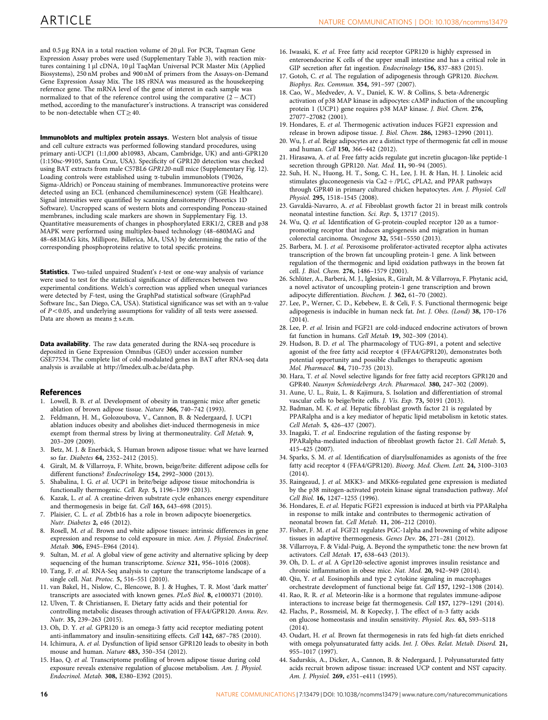<span id="page-15-0"></span>Immunoblots and multiplex protein assays. Western blot analysis of tissue and cell culture extracts was performed following standard procedures, using primary anti-UCP1 (1:1,000 ab10983, Abcam, Cambridge, UK) and anti-GPR120 (1:150sc-99105, Santa Cruz, USA). Specificity of GPR120 detection was checked using BAT extracts from male C57BL6 GPR120-null mice (Supplementary Fig. 12). Loading controls were established using  $\alpha$ -tubulin immunoblots (T9026, Sigma-Aldrich) or Ponceau staining of membranes. Immunoreactive proteins were detected using an ECL (enhanced chemiluminescence) system (GE Healthcare). Signal intensities were quantified by scanning densitometry (Phoretics 1D Software). Uncropped scans of western blots and corresponding Ponceau-stained membranes, including scale markers are shown in Supplementary Fig. 13. Quantitative measurements of changes in phosphorylated ERK1/2, CREB and p38 MAPK were performed using multiplex-based technology (48–680MAG and 48–681MAG kits, Millipore, Billerica, MA, USA) by determining the ratio of the corresponding phosphoproteins relative to total specific proteins.

Statistics. Two-tailed unpaired Student's t-test or one-way analysis of variance were used to test for the statistical significance of differences between two experimental conditions. Welch's correction was applied when unequal variances were detected by F-test, using the GraphPad statistical software (GraphPad Software Inc., San Diego, CA, USA). Statistical significance was set with an  $\alpha$ -value of  $P < 0.05$ , and underlying assumptions for validity of all tests were assessed. Data are shown as means±s.e.m.

Data availability. The raw data generated during the RNA-seq procedure is deposited in Gene Expression Omnibus (GEO) under accession number GSE77534. The complete list of cold-modulated genes in BAT after RNA-seq data analysis is available at<http://lmedex.ulb.ac.be/data.php>.

#### **References**

- 1. Lowell, B. B. et al. Development of obesity in transgenic mice after genetic ablation of brown adipose tissue. Nature 366, 740-742 (1993)
- 2. Feldmann, H. M., Golozoubova, V., Cannon, B. & Nedergaard, J. UCP1 ablation induces obesity and abolishes diet-induced thermogenesis in mice exempt from thermal stress by living at thermoneutrality. Cell Metab. 9, 203–209 (2009).
- 3. Betz, M. J. & Enerbäck, S. Human brown adipose tissue: what we have learned so far. Diabetes 64, 2352–2412 (2015).
- 4. Giralt, M. & Villarroya, F. White, brown, beige/brite: different adipose cells for different functions? Endocrinology 154, 2992–3000 (2013).
- 5. Shabalina, I. G. et al. UCP1 in brite/beige adipose tissue mitochondria is functionally thermogenic. Cell. Rep. 5, 1196–1399 (2013).
- 6. Kazak, L. et al. A creatine-driven substrate cycle enhances energy expenditure and thermogenesis in beige fat. Cell 163, 643–698 (2015).
- 7. Plaisier, C. L. et al. Zbtb16 has a role in brown adipocyte bioenergetics. Nutr. Diabetes 2, e46 (2012).
- 8. Rosell, M. et al. Brown and white adipose tissues: intrinsic differences in gene expression and response to cold exposure in mice. Am. J. Physiol. Endocrinol. Metab. 306, E945–E964 (2014).
- 9. Sultan, M. et al. A global view of gene activity and alternative splicing by deep sequencing of the human transcriptome. Science 321, 956-1016 (2008).
- 10. Tang, F. et al. RNA-Seq analysis to capture the transcriptome landscape of a single cell. Nat. Protoc. 5, 516–551 (2010).
- 11. van Bakel, H., Nislow, C., Blencowe, B. J. & Hughes, T. R. Most 'dark matter' transcripts are associated with known genes. PLoS Biol. 8, e1000371 (2010).
- 12. Ulven, T. & Christiansen, E. Dietary fatty acids and their potential for controlling metabolic diseases through activation of FFA4/GPR120. Annu. Rev. Nutr. 35, 239–263 (2015).
- 13. Oh, D. Y. et al. GPR120 is an omega-3 fatty acid receptor mediating potent anti-inflammatory and insulin-sensitizing effects. Cell 142, 687–785 (2010).
- 14. Ichimura, A. et al. Dysfunction of lipid sensor GPR120 leads to obesity in both mouse and human. Nature 483, 350–354 (2012).
- 15. Hao, Q. et al. Transcriptome profiling of brown adipose tissue during cold exposure reveals extensive regulation of glucose metabolism. Am. J. Physiol. Endocrinol. Metab. 308, E380–E392 (2015).
- 16. Iwasaki, K. et al. Free fatty acid receptor GPR120 is highly expressed in enteroendocrine K cells of the upper small intestine and has a critical role in GIP secretion after fat ingestion. Endocrinology 156, 837–883 (2015).
- 17. Gotoh, C. et al. The regulation of adipogenesis through GPR120. Biochem. Biophys. Res. Commun. 354, 591–597 (2007).
- 18. Cao, W., Medvedev, A. V., Daniel, K. W. & Collins, S. beta-Adrenergic activation of p38 MAP kinase in adipocytes: cAMP induction of the uncoupling protein 1 (UCP1) gene requires p38 MAP kinase. J. Biol. Chem. 276, 27077–27082 (2001).
- 19. Hondares, E. et al. Thermogenic activation induces FGF21 expression and release in brown adipose tissue. J. Biol. Chem. 286, 12983–12990 (2011).
- 20. Wu, J. et al. Beige adipocytes are a distinct type of thermogenic fat cell in mouse and human. Cell 150, 366–442 (2012).
- 21. Hirasawa, A. et al. Free fatty acids regulate gut incretin glucagon-like peptide-1 secretion through GPR120. Nat. Med. 11, 90-94 (2005).
- 22. Suh, H. N., Huong, H. T., Song, C. H., Lee, J. H. & Han, H. J. Linoleic acid stimulates gluconeogenesis via  $Ca2 + /PLC$ , cPLA2, and PPAR pathways through GPR40 in primary cultured chicken hepatocytes. Am. J. Physiol. Cell Physiol. 295, 1518–1545 (2008).
- 23. Gavaldà-Navarro, A. et al. Fibroblast growth factor 21 in breast milk controls neonatal intestine function. Sci. Rep. 5, 13717 (2015).
- 24. Wu, Q. et al. Identification of G-protein-coupled receptor 120 as a tumorpromoting receptor that induces angiogenesis and migration in human colorectal carcinoma. Oncogene 32, 5541–5550 (2013).
- 25. Barbera, M. J. et al. Peroxisome proliferator-activated receptor alpha activates transcription of the brown fat uncoupling protein-1 gene. A link between regulation of the thermogenic and lipid oxidation pathways in the brown fat cell. J. Biol. Chem. 276, 1486–1579 (2001).
- 26. Schlüter, A., Barberá, M. J., Iglesias, R., Giralt, M. & Villarroya, F. Phytanic acid, a novel activator of uncoupling protein-1 gene transcription and brown adipocyte differentiation. Biochem. J. 362, 61–70 (2002).
- 27. Lee, P., Werner, C. D., Kebebew, E. & Celi, F. S. Functional thermogenic beige adipogenesis is inducible in human neck fat. Int. J. Obes. (Lond) 38, 170–176 (2014).
- 28. Lee, P. et al. Irisin and FGF21 are cold-induced endocrine activators of brown fat function in humans. Cell Metab. 19, 302–309 (2014).
- 29. Hudson, B. D. et al. The pharmacology of TUG-891, a potent and selective agonist of the free fatty acid receptor 4 (FFA4/GPR120), demonstrates both potential opportunity and possible challenges to therapeutic agonism Mol. Pharmacol. 84, 710–735 (2013).
- 30. Hara, T. et al. Novel selective ligands for free fatty acid receptors GPR120 and GPR40. Naunyn Schmiedebergs Arch. Pharmacol. 380, 247–302 (2009).
- 31. Aune, U. L., Ruiz, L. & Kajimura, S. Isolation and differentiation of stromal vascular cells to beige/brite cells. J. Vis. Exp. 73, 50191 (2013).
- 32. Badman, M. K. et al. Hepatic fibroblast growth factor 21 is regulated by PPARalpha and is a key mediator of hepatic lipid metabolism in ketotic states. Cell Metab. 5, 426–437 (2007).
- 33. Inagaki, T. et al. Endocrine regulation of the fasting response by PPARalpha-mediated induction of fibroblast growth factor 21. Cell Metab. 5, 415–425 (2007).
- 34. Sparks, S. M. et al. Identification of diarylsulfonamides as agonists of the free fatty acid receptor 4 (FFA4/GPR120). Bioorg. Med. Chem. Lett. 24, 3100–3103  $(2014)$
- 35. Raingeaud, J. et al. MKK3- and MKK6-regulated gene expression is mediated by the p38 mitogen-activated protein kinase signal transduction pathway. Mol Cell Biol. 16, 1247–1255 (1996).
- 36. Hondares, E. et al. Hepatic FGF21 expression is induced at birth via PPARalpha in response to milk intake and contributes to thermogenic activation of neonatal brown fat. Cell Metab. 11, 206–212 (2010).
- 37. Fisher, F. M. et al. FGF21 regulates PGC-1alpha and browning of white adipose tissues in adaptive thermogenesis. Genes Dev. 26, 271–281 (2012).
- 38. Villarroya, F. & Vidal-Puig, A. Beyond the sympathetic tone: the new brown fat activators. Cell Metab. 17, 638–643 (2013).
- 39. Oh, D. L. et al. A Gpr120-selective agonist improves insulin resistance and chronic inflammation in obese mice. Nat. Med. 20, 942–949 (2014).
- 40. Qiu, Y. et al. Eosinophils and type 2 cytokine signaling in macrophages orchestrate development of functional beige fat. Cell 157, 1292–1308 (2014).
- 41. Rao, R. R. et al. Meteorin-like is a hormone that regulates immune-adipose interactions to increase beige fat thermogenesis. Cell 157, 1279–1291 (2014).
- 42. Flachs, P., Rossmeisl, M. & Kopecky, J. The effect of n-3 fatty acids on glucose homeostasis and insulin sensitivity. Physiol. Res. 63, S93–S118 (2014).
- 43. Oudart, H. et al. Brown fat thermogenesis in rats fed high-fat diets enriched with omega polyunsaturated fatty acids. Int. J. Obes. Relat. Metab. Disord. 21, 955–1017 (1997).
- 44. Sadurskis, A., Dicker, A., Cannon, B. & Nedergaard, J. Polyunsaturated fatty acids recruit brown adipose tissue: increased UCP content and NST capacity. Am. J. Physiol. 269, e351–e411 (1995).